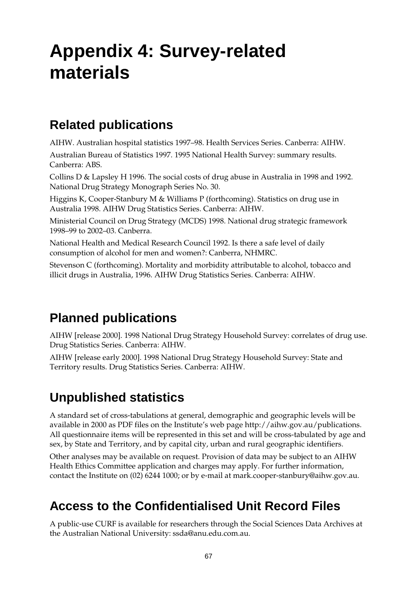# **Appendix 4: Survey-related materials**

#### **Related publications**

AIHW. Australian hospital statistics 1997–98. Health Services Series. Canberra: AIHW.

Australian Bureau of Statistics 1997. 1995 National Health Survey: summary results. Canberra: ABS.

Collins D & Lapsley H 1996. The social costs of drug abuse in Australia in 1998 and 1992. National Drug Strategy Monograph Series No. 30.

Higgins K, Cooper-Stanbury M & Williams P (forthcoming). Statistics on drug use in Australia 1998. AIHW Drug Statistics Series. Canberra: AIHW.

Ministerial Council on Drug Strategy (MCDS) 1998. National drug strategic framework 1998–99 to 2002–03. Canberra.

National Health and Medical Research Council 1992. Is there a safe level of daily consumption of alcohol for men and women?: Canberra, NHMRC.

Stevenson C (forthcoming). Mortality and morbidity attributable to alcohol, tobacco and illicit drugs in Australia, 1996. AIHW Drug Statistics Series. Canberra: AIHW.

## **Planned publications**

AIHW [release 2000]. 1998 National Drug Strategy Household Survey: correlates of drug use. Drug Statistics Series. Canberra: AIHW.

AIHW [release early 2000]. 1998 National Drug Strategy Household Survey: State and Territory results. Drug Statistics Series. Canberra: AIHW.

## **Unpublished statistics**

A standard set of cross-tabulations at general, demographic and geographic levels will be available in 2000 as PDF files on the Institute's web page http://aihw.gov.au/publications. All questionnaire items will be represented in this set and will be cross-tabulated by age and sex, by State and Territory, and by capital city, urban and rural geographic identifiers.

Other analyses may be available on request. Provision of data may be subject to an AIHW Health Ethics Committee application and charges may apply. For further information, contact the Institute on (02) 6244 1000; or by e-mail at mark.cooper-stanbury@aihw.gov.au.

#### **Access to the Confidentialised Unit Record Files**

A public-use CURF is available for researchers through the Social Sciences Data Archives at the Australian National University: ssda@anu.edu.com.au.